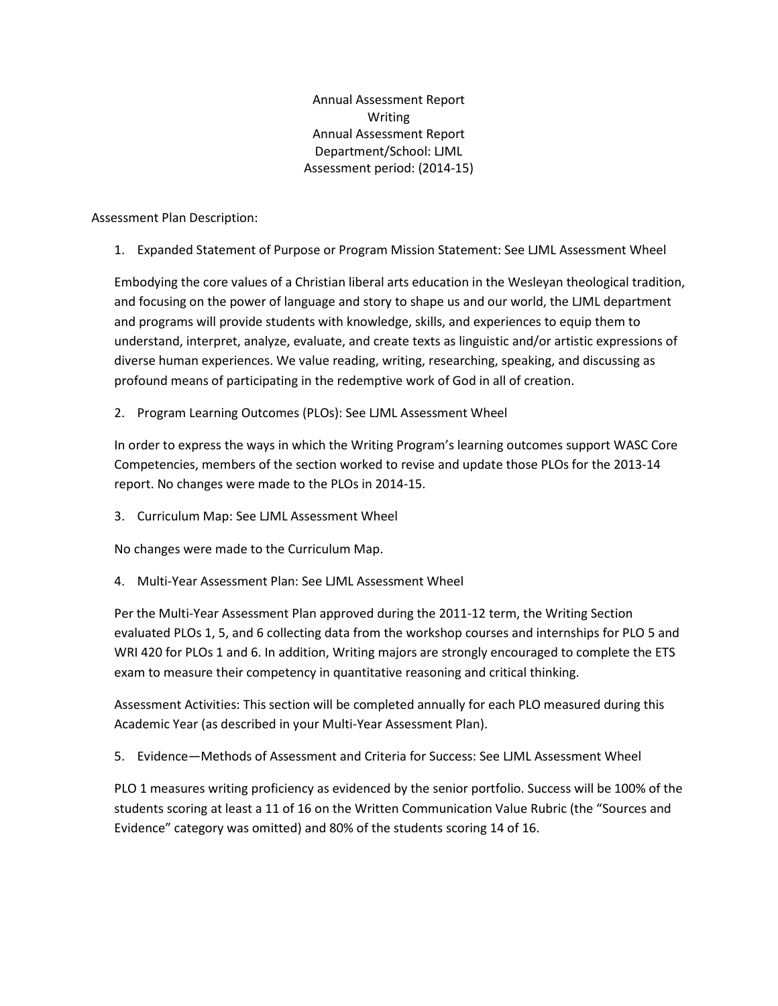Annual Assessment Report Writing Annual Assessment Report Department/School: LJML Assessment period: (2014-15)

Assessment Plan Description:

1. Expanded Statement of Purpose or Program Mission Statement: See LJML Assessment Wheel

Embodying the core values of a Christian liberal arts education in the Wesleyan theological tradition, and focusing on the power of language and story to shape us and our world, the LJML department and programs will provide students with knowledge, skills, and experiences to equip them to understand, interpret, analyze, evaluate, and create texts as linguistic and/or artistic expressions of diverse human experiences. We value reading, writing, researching, speaking, and discussing as profound means of participating in the redemptive work of God in all of creation.

2. Program Learning Outcomes (PLOs): See LJML Assessment Wheel

In order to express the ways in which the Writing Program's learning outcomes support WASC Core Competencies, members of the section worked to revise and update those PLOs for the 2013-14 report. No changes were made to the PLOs in 2014-15.

3. Curriculum Map: See LJML Assessment Wheel

No changes were made to the Curriculum Map.

4. Multi-Year Assessment Plan: See LJML Assessment Wheel

Per the Multi-Year Assessment Plan approved during the 2011-12 term, the Writing Section evaluated PLOs 1, 5, and 6 collecting data from the workshop courses and internships for PLO 5 and WRI 420 for PLOs 1 and 6. In addition, Writing majors are strongly encouraged to complete the ETS exam to measure their competency in quantitative reasoning and critical thinking.

Assessment Activities: This section will be completed annually for each PLO measured during this Academic Year (as described in your Multi-Year Assessment Plan).

5. Evidence—Methods of Assessment and Criteria for Success: See LJML Assessment Wheel

PLO 1 measures writing proficiency as evidenced by the senior portfolio. Success will be 100% of the students scoring at least a 11 of 16 on the Written Communication Value Rubric (the "Sources and Evidence" category was omitted) and 80% of the students scoring 14 of 16.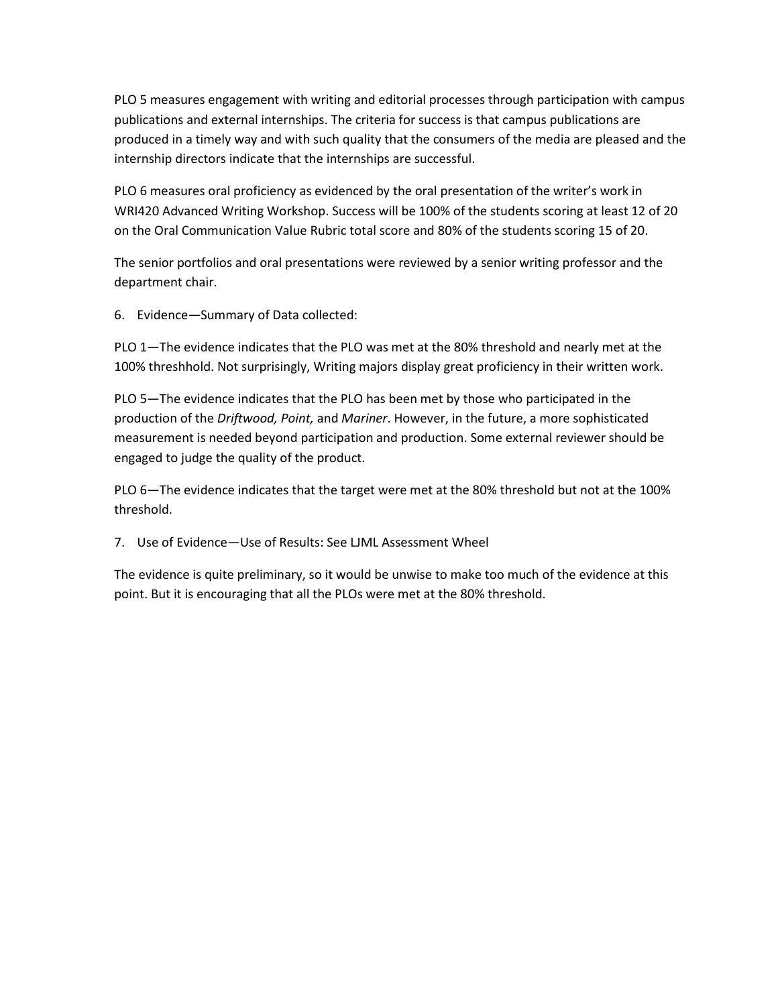PLO 5 measures engagement with writing and editorial processes through participation with campus publications and external internships. The criteria for success is that campus publications are produced in a timely way and with such quality that the consumers of the media are pleased and the internship directors indicate that the internships are successful.

PLO 6 measures oral proficiency as evidenced by the oral presentation of the writer's work in WRI420 Advanced Writing Workshop. Success will be 100% of the students scoring at least 12 of 20 on the Oral Communication Value Rubric total score and 80% of the students scoring 15 of 20.

The senior portfolios and oral presentations were reviewed by a senior writing professor and the department chair.

6. Evidence—Summary of Data collected:

PLO 1—The evidence indicates that the PLO was met at the 80% threshold and nearly met at the 100% threshhold. Not surprisingly, Writing majors display great proficiency in their written work.

PLO 5—The evidence indicates that the PLO has been met by those who participated in the production of the *Driftwood, Point,* and *Mariner*. However, in the future, a more sophisticated measurement is needed beyond participation and production. Some external reviewer should be engaged to judge the quality of the product.

PLO 6—The evidence indicates that the target were met at the 80% threshold but not at the 100% threshold.

7. Use of Evidence—Use of Results: See LJML Assessment Wheel

The evidence is quite preliminary, so it would be unwise to make too much of the evidence at this point. But it is encouraging that all the PLOs were met at the 80% threshold.